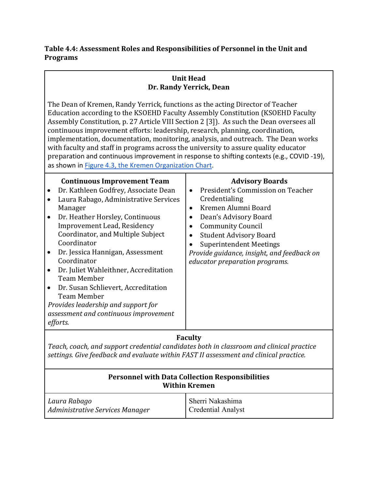## **Table 4.4: Assessment Roles and Responsibilities of Personnel in the Unit and Programs**

## **Unit Head Dr. Randy Yerrick, Dean**

The Dean of Kremen, Randy Yerrick, functions as the acting Director of Teacher Education according to the KSOEHD Faculty Assembly Constitution (KSOEHD Faculty Assembly Constitution, p. 27 Article VIII Section 2 [3]). As such the Dean oversees all continuous improvement efforts: leadership, research, planning, coordination, implementation, documentation, monitoring, analysis, and outreach. The Dean works with faculty and staff in programs across the university to assure quality educator preparation and continuous improvement in response to shifting contexts (e.g., COVID -19), as shown in Figure 4.3, the Kremen [Organization](http://fresnostate.edu/kremen/about/cctc/documents/KSOEHD-OrgChart.pdf) Chart.

## **Continuous Improvement Team** • Dr. Kathleen Godfrey, Associate Dean • Laura Rabago, Administrative Services Manager • Dr. Heather Horsley, Continuous Improvement Lead, Residency Coordinator, and Multiple Subject Coordinator • Dr. Jessica Hannigan, Assessment Coordinator • Dr. Juliet Wahleithner, Accreditation Team Member • Dr. Susan Schlievert, Accreditation Team Member *Provides leadership and support for assessment and continuous improvement efforts.* **Advisory Boards** • President's Commission on Teacher Credentialing • Kremen Alumni Board • Dean's Advisory Board • Community Council • Student Advisory Board Superintendent Meetings *Provide guidance, insight, and feedback on educator preparation programs.*

## **Faculty**

*Teach, coach, and support credential candidates both in classroom and clinical practice settings. Give feedback and evaluate within FAST II assessment and clinical practice.*

| <b>Personnel with Data Collection Responsibilities</b><br><b>Within Kremen</b> |                           |
|--------------------------------------------------------------------------------|---------------------------|
| Laura Rabago                                                                   | Sherri Nakashima          |
| Administrative Services Manager                                                | <b>Credential Analyst</b> |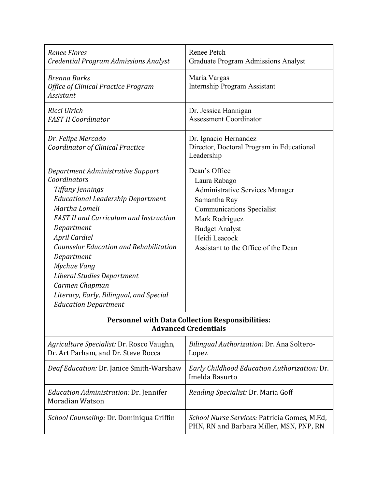| <b>Renee Flores</b>                                                                    | Renee Petch                                  |  |
|----------------------------------------------------------------------------------------|----------------------------------------------|--|
| Credential Program Admissions Analyst                                                  | <b>Graduate Program Admissions Analyst</b>   |  |
| <b>Brenna Barks</b>                                                                    | Maria Vargas                                 |  |
| Office of Clinical Practice Program                                                    | <b>Internship Program Assistant</b>          |  |
| Assistant                                                                              |                                              |  |
| Ricci Ulrich                                                                           | Dr. Jessica Hannigan                         |  |
| <b>FAST II Coordinator</b>                                                             | <b>Assessment Coordinator</b>                |  |
|                                                                                        |                                              |  |
| Dr. Felipe Mercado                                                                     | Dr. Ignacio Hernandez                        |  |
| Coordinator of Clinical Practice                                                       | Director, Doctoral Program in Educational    |  |
|                                                                                        | Leadership                                   |  |
| Department Administrative Support                                                      | Dean's Office                                |  |
| Coordinators                                                                           | Laura Rabago                                 |  |
| <b>Tiffany Jennings</b>                                                                | <b>Administrative Services Manager</b>       |  |
| <b>Educational Leadership Department</b>                                               | Samantha Ray                                 |  |
| Martha Lomeli                                                                          | <b>Communications Specialist</b>             |  |
| <b>FAST II and Curriculum and Instruction</b>                                          | Mark Rodriguez                               |  |
| Department                                                                             | <b>Budget Analyst</b>                        |  |
| April Cardiel                                                                          | Heidi Leacock                                |  |
| <b>Counselor Education and Rehabilitation</b>                                          | Assistant to the Office of the Dean          |  |
| Department                                                                             |                                              |  |
| Mychue Vang                                                                            |                                              |  |
| Liberal Studies Department                                                             |                                              |  |
| Carmen Chapman                                                                         |                                              |  |
| Literacy, Early, Bilingual, and Special                                                |                                              |  |
| <b>Education Department</b>                                                            |                                              |  |
|                                                                                        |                                              |  |
| <b>Personnel with Data Collection Responsibilities:</b><br><b>Advanced Credentials</b> |                                              |  |
|                                                                                        |                                              |  |
| Agriculture Specialist: Dr. Rosco Vaughn,                                              | Bilingual Authorization: Dr. Ana Soltero-    |  |
| Dr. Art Parham, and Dr. Steve Rocca                                                    | Lopez                                        |  |
| Deaf Education: Dr. Janice Smith-Warshaw                                               | Early Childhood Education Authorization: Dr. |  |
|                                                                                        | Imelda Basurto                               |  |
| <i>Education Administration: Dr. Jennifer</i>                                          | Reading Specialist: Dr. Maria Goff           |  |
| <b>Moradian Watson</b>                                                                 |                                              |  |
|                                                                                        |                                              |  |
| School Counseling: Dr. Dominiqua Griffin                                               | School Nurse Services: Patricia Gomes, M.Ed, |  |
|                                                                                        | PHN, RN and Barbara Miller, MSN, PNP, RN     |  |